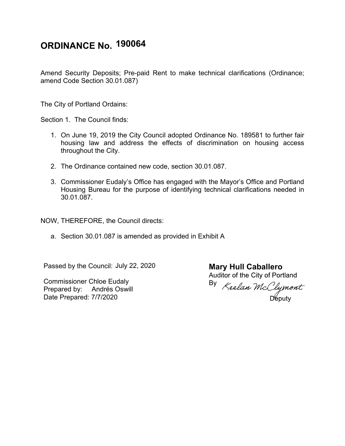## **ORDINANCE No. 190064**

Amend Security Deposits; Pre-paid Rent to make technical clarifications (Ordinance; amend Code Section 30.01.087)

The City of Portland Ordains:

Section 1. The Council finds:

- 1. On June 19, 2019 the City Council adopted Ordinance No. 189581 to further fair housing law and address the effects of discrimination on housing access throughout the City.
- 2. The Ordinance contained new code, section 30.01.087.
- 3. Commissioner Eudaly's Office has engaged with the Mayor's Office and Portland Housing Bureau for the purpose of identifying technical clarifications needed in 30.01.087.

NOW, THEREFORE, the Council directs:

a. Section 30.01.087 is amended as provided in Exhibit A

Passed by the Council: July 22, 2020

Commissioner Chloe Eudaly Prepared by: Andrés Oswill Date Prepared: 7/7/2020

**Mary Hull Caballero** Auditor of the City of Portland

By Députy